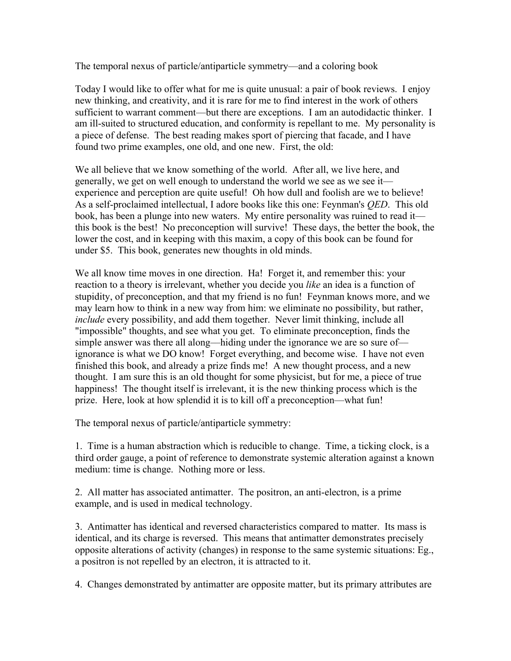The temporal nexus of particle/antiparticle symmetry––and a coloring book

Today I would like to offer what for me is quite unusual: a pair of book reviews. I enjoy new thinking, and creativity, and it is rare for me to find interest in the work of others sufficient to warrant comment—but there are exceptions. I am an autodidactic thinker. I am ill-suited to structured education, and conformity is repellant to me. My personality is a piece of defense. The best reading makes sport of piercing that facade, and I have found two prime examples, one old, and one new. First, the old:

We all believe that we know something of the world. After all, we live here, and generally, we get on well enough to understand the world we see as we see it–– experience and perception are quite useful! Oh how dull and foolish are we to believe! As a self-proclaimed intellectual, I adore books like this one: Feynman's *QED*. This old book, has been a plunge into new waters. My entire personality was ruined to read it this book is the best! No preconception will survive! These days, the better the book, the lower the cost, and in keeping with this maxim, a copy of this book can be found for under \$5. This book, generates new thoughts in old minds.

We all know time moves in one direction. Ha! Forget it, and remember this: your reaction to a theory is irrelevant, whether you decide you *like* an idea is a function of stupidity, of preconception, and that my friend is no fun! Feynman knows more, and we may learn how to think in a new way from him: we eliminate no possibility, but rather, *include* every possibility, and add them together. Never limit thinking, include all "impossible" thoughts, and see what you get. To eliminate preconception, finds the simple answer was there all along—hiding under the ignorance we are so sure of ignorance is what we DO know! Forget everything, and become wise. I have not even finished this book, and already a prize finds me! A new thought process, and a new thought. I am sure this is an old thought for some physicist, but for me, a piece of true happiness! The thought itself is irrelevant, it is the new thinking process which is the prize. Here, look at how splendid it is to kill off a preconception––what fun!

The temporal nexus of particle/antiparticle symmetry:

1. Time is a human abstraction which is reducible to change. Time, a ticking clock, is a third order gauge, a point of reference to demonstrate systemic alteration against a known medium: time is change. Nothing more or less.

2. All matter has associated antimatter. The positron, an anti-electron, is a prime example, and is used in medical technology.

3. Antimatter has identical and reversed characteristics compared to matter. Its mass is identical, and its charge is reversed. This means that antimatter demonstrates precisely opposite alterations of activity (changes) in response to the same systemic situations: Eg., a positron is not repelled by an electron, it is attracted to it.

4. Changes demonstrated by antimatter are opposite matter, but its primary attributes are